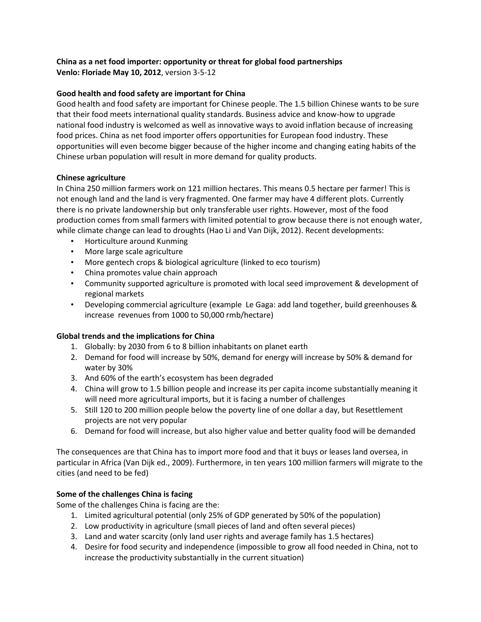# **China as a net food importer: opportunity or threat for global food partnerships**

**Venlo: Floriade May 10, 2012**, version 3-5-12

## **Good health and food safety are important for China**

Good health and food safety are important for Chinese people. The 1.5 billion Chinese wants to be sure that their food meets international quality standards. Business advice and know-how to upgrade national food industry is welcomed as well as innovative ways to avoid inflation because of increasing food prices. China as net food importer offers opportunities for European food industry. These opportunities will even become bigger because of the higher income and changing eating habits of the Chinese urban population will result in more demand for quality products.

### **Chinese agriculture**

In China 250 million farmers work on 121 million hectares. This means 0.5 hectare per farmer! This is not enough land and the land is very fragmented. One farmer may have 4 different plots. Currently there is no private landownership but only transferable user rights. However, most of the food production comes from small farmers with limited potential to grow because there is not enough water, while climate change can lead to droughts (Hao Li and Van Dijk, 2012). Recent developments:

- Horticulture around Kunming
- More large scale agriculture
- More gentech crops & biological agriculture (linked to eco tourism)
- China promotes value chain approach
- Community supported agriculture is promoted with local seed improvement & development of regional markets
- Developing commercial agriculture (example Le Gaga: add land together, build greenhouses & increase revenues from 1000 to 50,000 rmb/hectare)

### **Global trends and the implications for China**

- 1. Globally: by 2030 from 6 to 8 billion inhabitants on planet earth
- 2. Demand for food will increase by 50%, demand for energy will increase by 50% & demand for water by 30%
- 3. And 60% of the earth's ecosystem has been degraded
- 4. China will grow to 1.5 billion people and increase its per capita income substantially meaning it will need more agricultural imports, but it is facing a number of challenges
- 5. Still 120 to 200 million people below the poverty line of one dollar a day, but Resettlement projects are not very popular
- 6. Demand for food will increase, but also higher value and better quality food will be demanded

The consequences are that China has to import more food and that it buys or leases land oversea, in particular in Africa (Van Dijk ed., 2009). Furthermore, in ten years 100 million farmers will migrate to the cities (and need to be fed)

# **Some of the challenges China is facing**

Some of the challenges China is facing are the:

- 1. Limited agricultural potential (only 25% of GDP generated by 50% of the population)
- 2. Low productivity in agriculture (small pieces of land and often several pieces)
- 3. Land and water scarcity (only land user rights and average family has 1.5 hectares)
- 4. Desire for food security and independence (impossible to grow all food needed in China, not to increase the productivity substantially in the current situation)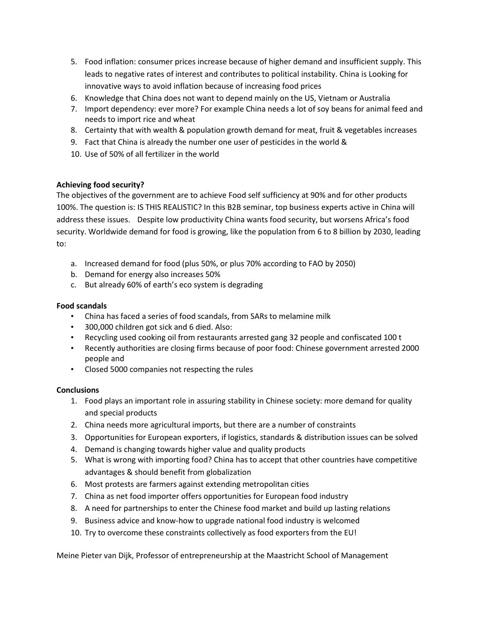- 5. Food inflation: consumer prices increase because of higher demand and insufficient supply. This leads to negative rates of interest and contributes to political instability. China is Looking for innovative ways to avoid inflation because of increasing food prices
- 6. Knowledge that China does not want to depend mainly on the US, Vietnam or Australia
- 7. Import dependency: ever more? For example China needs a lot of soy beans for animal feed and needs to import rice and wheat
- 8. Certainty that with wealth & population growth demand for meat, fruit & vegetables increases
- 9. Fact that China is already the number one user of pesticides in the world &
- 10. Use of 50% of all fertilizer in the world

### **Achieving food security?**

The objectives of the government are to achieve Food self sufficiency at 90% and for other products 100%. The question is: IS THIS REALISTIC? In this B2B seminar, top business experts active in China will address these issues. Despite low productivity China wants food security, but worsens Africa's food security. Worldwide demand for food is growing, like the population from 6 to 8 billion by 2030, leading to:

- a. Increased demand for food (plus 50%, or plus 70% according to FAO by 2050)
- b. Demand for energy also increases 50%
- c. But already 60% of earth's eco system is degrading

### **Food scandals**

- China has faced a series of food scandals, from SARs to melamine milk
- 300,000 children got sick and 6 died. Also:
- Recycling used cooking oil from restaurants arrested gang 32 people and confiscated 100 t
- Recently authorities are closing firms because of poor food: Chinese government arrested 2000 people and
- Closed 5000 companies not respecting the rules

### **Conclusions**

- 1. Food plays an important role in assuring stability in Chinese society: more demand for quality and special products
- 2. China needs more agricultural imports, but there are a number of constraints
- 3. Opportunities for European exporters, if logistics, standards & distribution issues can be solved
- 4. Demand is changing towards higher value and quality products
- 5. What is wrong with importing food? China has to accept that other countries have competitive advantages & should benefit from globalization
- 6. Most protests are farmers against extending metropolitan cities
- 7. China as net food importer offers opportunities for European food industry
- 8. A need for partnerships to enter the Chinese food market and build up lasting relations
- 9. Business advice and know-how to upgrade national food industry is welcomed
- 10. Try to overcome these constraints collectively as food exporters from the EU!

Meine Pieter van Dijk, Professor of entrepreneurship at the Maastricht School of Management